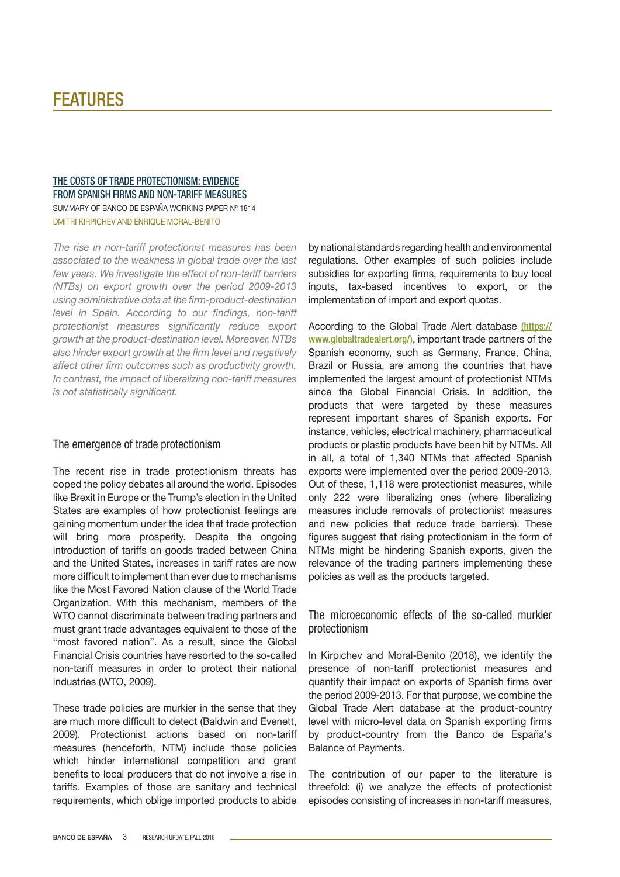# **FEATURES**

## [The costs of trade protectionism: evidence](http://www.bde.es/webbde/SES/Secciones/Publicaciones/PublicacionesSeriadas/DocumentosTrabajo/18/Files/dt1814e.pdf) [from Spanish firms and non-tariff measures](http://www.bde.es/webbde/SES/Secciones/Publicaciones/PublicacionesSeriadas/DocumentosTrabajo/18/Files/dt1814e.pdf) SUMMARY OF BANCO DE ESPAÑA WORKING PAPER Nº 1814 Dmitri Kirpichev AND Enrique Moral-Benito

*The rise in non-tariff protectionist measures has been associated to the weakness in global trade over the last few years. We investigate the effect of non-tariff barriers (NTBs) on export growth over the period 2009-2013 using administrative data at the firm-product-destination level in Spain. According to our findings, non-tariff protectionist measures significantly reduce export growth at the product-destination level. Moreover, NTBs also hinder export growth at the firm level and negatively affect other firm outcomes such as productivity growth. In contrast, the impact of liberalizing non-tariff measures is not statistically significant.*

## The emergence of trade protectionism

The recent rise in trade protectionism threats has coped the policy debates all around the world. Episodes like Brexit in Europe or the Trump's election in the United States are examples of how protectionist feelings are gaining momentum under the idea that trade protection will bring more prosperity. Despite the ongoing introduction of tariffs on goods traded between China and the United States, increases in tariff rates are now more difficult to implement than ever due to mechanisms like the Most Favored Nation clause of the World Trade Organization. With this mechanism, members of the WTO cannot discriminate between trading partners and must grant trade advantages equivalent to those of the "most favored nation". As a result, since the Global Financial Crisis countries have resorted to the so-called non-tariff measures in order to protect their national industries (WTO, 2009).

These trade policies are murkier in the sense that they are much more difficult to detect (Baldwin and Evenett, 2009). Protectionist actions based on non-tariff measures (henceforth, NTM) include those policies which hinder international competition and grant benefits to local producers that do not involve a rise in tariffs. Examples of those are sanitary and technical requirements, which oblige imported products to abide

by national standards regarding health and environmental regulations. Other examples of such policies include subsidies for exporting firms, requirements to buy local inputs, tax-based incentives to export, or the implementation of import and export quotas.

According to the Global Trade Alert database [\(https://](https://www.globaltradealert.org/) [www.globaltradealert.org/\)](https://www.globaltradealert.org/), important trade partners of the Spanish economy, such as Germany, France, China, Brazil or Russia, are among the countries that have implemented the largest amount of protectionist NTMs since the Global Financial Crisis. In addition, the products that were targeted by these measures represent important shares of Spanish exports. For instance, vehicles, electrical machinery, pharmaceutical products or plastic products have been hit by NTMs. All in all, a total of 1,340 NTMs that affected Spanish exports were implemented over the period 2009-2013. Out of these, 1,118 were protectionist measures, while only 222 were liberalizing ones (where liberalizing measures include removals of protectionist measures and new policies that reduce trade barriers). These figures suggest that rising protectionism in the form of NTMs might be hindering Spanish exports, given the relevance of the trading partners implementing these policies as well as the products targeted.

The microeconomic effects of the so-called murkier protectionism

In Kirpichev and Moral-Benito (2018), we identify the presence of non-tariff protectionist measures and quantify their impact on exports of Spanish firms over the period 2009-2013. For that purpose, we combine the Global Trade Alert database at the product-country level with micro-level data on Spanish exporting firms by product-country from the Banco de España's Balance of Payments.

The contribution of our paper to the literature is threefold: (i) we analyze the effects of protectionist episodes consisting of increases in non-tariff measures,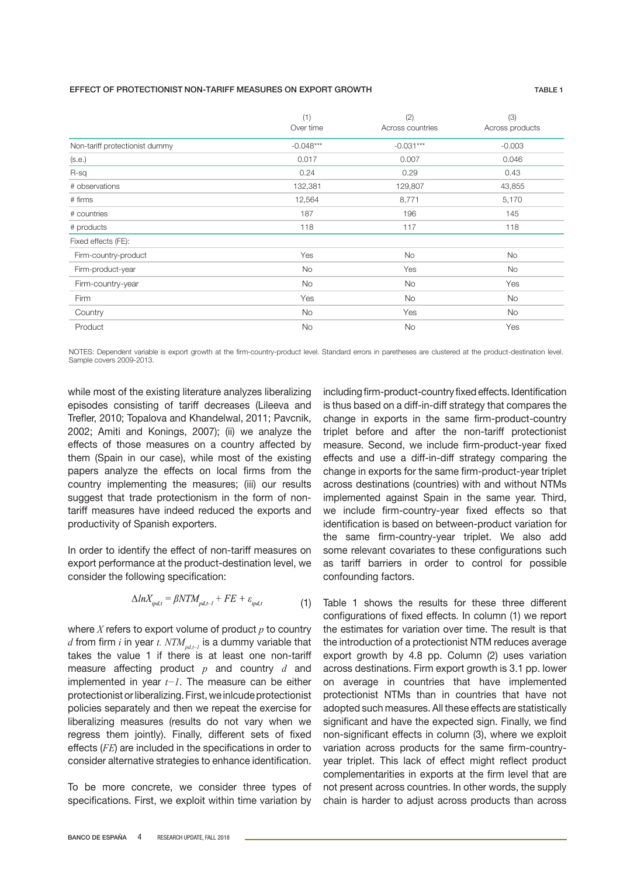### EFFECT OF PROTECTIONIST NON-TARIFF MEASURES ON EXPORT GROWTH TABLE 1

|                                | (1)<br>Over time | (2)<br>Across countries | (3)<br>Across products |
|--------------------------------|------------------|-------------------------|------------------------|
| Non-tariff protectionist dummy | $-0.048***$      | $-0.031***$             | $-0.003$               |
| (s.e.)                         | 0.017            | 0.007                   | 0.046                  |
| R-sq                           | 0.24             | 0.29                    | 0.43                   |
| # observations                 | 132,381          | 129,807                 | 43,855                 |
| # firms                        | 12,564           | 8,771                   | 5,170                  |
| # countries                    | 187              | 196                     | 145                    |
| # products                     | 118              | 117                     | 118                    |
| Fixed effects (FE):            |                  |                         |                        |
| Firm-country-product           | Yes              | <b>No</b>               | <b>No</b>              |
| Firm-product-year              | <b>No</b>        | Yes                     | No                     |
| Firm-country-year              | No               | No                      | Yes                    |
| Firm                           | Yes              | <b>No</b>               | No                     |
| Country                        | <b>No</b>        | Yes                     | <b>No</b>              |
| Product                        | <b>No</b>        | <b>No</b>               | Yes                    |

NOTES: Dependent variable is export growth at the firm-country-product level. Standard errors in paretheses are clustered at the product-destination level. Sample covers 2009-2013.

while most of the existing literature analyzes liberalizing episodes consisting of tariff decreases (Lileeva and Trefler, 2010; Topalova and Khandelwal, 2011; Pavcnik, 2002; Amiti and Konings, 2007); (ii) we analyze the effects of those measures on a country affected by them (Spain in our case), while most of the existing papers analyze the effects on local firms from the country implementing the measures; (iii) our results suggest that trade protectionism in the form of nontariff measures have indeed reduced the exports and productivity of Spanish exporters.

In order to identify the effect of non-tariff measures on export performance at the product-destination level, we consider the following specification:

$$
\Delta ln X_{ipd,t} = \beta N T M_{pd,t-1} + FE + \varepsilon_{ipd,t} \tag{1}
$$

where *X* refers to export volume of product *p* to country *d* from firm *i* in year *t.*  $NTM_{nd-1}$  is a dummy variable that takes the value 1 if there is at least one non-tariff measure affecting product *p* and country *d* and implemented in year *t−1*. The measure can be either protectionist or liberalizing. First, we inlcude protectionist policies separately and then we repeat the exercise for liberalizing measures (results do not vary when we regress them jointly). Finally, different sets of fixed effects (*FE*) are included in the specifications in order to consider alternative strategies to enhance identification.

To be more concrete, we consider three types of specifications. First, we exploit within time variation by including firm-product-country fixed effects. Identification is thus based on a diff-in-diff strategy that compares the change in exports in the same firm-product-country triplet before and after the non-tariff protectionist measure. Second, we include firm-product-year fixed effects and use a diff-in-diff strategy comparing the change in exports for the same firm-product-year triplet across destinations (countries) with and without NTMs implemented against Spain in the same year. Third, we include firm-country-year fixed effects so that identification is based on between-product variation for the same firm-country-year triplet. We also add some relevant covariates to these configurations such as tariff barriers in order to control for possible confounding factors.

Table 1 shows the results for these three different configurations of fixed effects. In column (1) we report the estimates for variation over time. The result is that the introduction of a protectionist NTM reduces average export growth by 4.8 pp. Column (2) uses variation across destinations. Firm export growth is 3.1 pp. lower on average in countries that have implemented protectionist NTMs than in countries that have not adopted such measures. All these effects are statistically significant and have the expected sign. Finally, we find non-significant effects in column (3), where we exploit variation across products for the same firm-countryyear triplet. This lack of effect might reflect product complementarities in exports at the firm level that are not present across countries. In other words, the supply chain is harder to adjust across products than across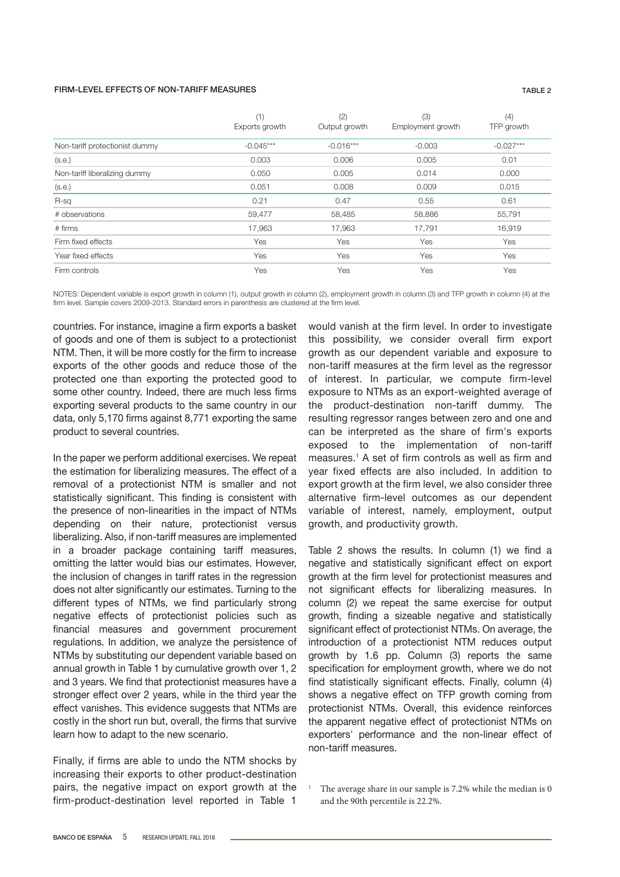#### FIRM-LEVEL EFFECTS OF NON-TARIFF MEASURES TABLE 2

|                                | (1)<br>Exports growth | (2)<br>Output growth | (3)<br>Employment growth | (4)<br>TFP growth |
|--------------------------------|-----------------------|----------------------|--------------------------|-------------------|
| Non-tariff protectionist dummy | $-0.045***$           | $-0.016***$          | $-0.003$                 | $-0.027***$       |
| (s.e.)                         | 0.003                 | 0.006                | 0.005                    | 0.01              |
| Non-tariff liberalizing dummy  | 0.050                 | 0.005                | 0.014                    | 0.000             |
| (s.e.)                         | 0.051                 | 0.008                | 0.009                    | 0.015             |
| R-sq                           | 0.21                  | 0.47                 | 0.55                     | 0.61              |
| # observations                 | 59,477                | 58,485               | 58,886                   | 55,791            |
| # firms                        | 17,963                | 17,963               | 17,791                   | 16,919            |
| Firm fixed effects             | Yes                   | Yes                  | Yes                      | Yes               |
| Year fixed effects             | Yes                   | Yes                  | Yes                      | Yes               |
| Firm controls                  | Yes                   | Yes                  | Yes                      | Yes               |

NOTES: Dependent variable is export growth in column (1), output growth in column (2), employment growth in column (3) and TFP growth in column (4) at the firm level. Sample covers 2009-2013. Standard errors in parenthesis are clustered at the firm level.

countries. For instance, imagine a firm exports a basket of goods and one of them is subject to a protectionist NTM. Then, it will be more costly for the firm to increase exports of the other goods and reduce those of the protected one than exporting the protected good to some other country. Indeed, there are much less firms exporting several products to the same country in our data, only 5,170 firms against 8,771 exporting the same product to several countries.

In the paper we perform additional exercises. We repeat the estimation for liberalizing measures. The effect of a removal of a protectionist NTM is smaller and not statistically significant. This finding is consistent with the presence of non-linearities in the impact of NTMs depending on their nature, protectionist versus liberalizing. Also, if non-tariff measures are implemented in a broader package containing tariff measures, omitting the latter would bias our estimates. However, the inclusion of changes in tariff rates in the regression does not alter significantly our estimates. Turning to the different types of NTMs, we find particularly strong negative effects of protectionist policies such as financial measures and government procurement regulations. In addition, we analyze the persistence of NTMs by substituting our dependent variable based on annual growth in Table 1 by cumulative growth over 1, 2 and 3 years. We find that protectionist measures have a stronger effect over 2 years, while in the third year the effect vanishes. This evidence suggests that NTMs are costly in the short run but, overall, the firms that survive learn how to adapt to the new scenario.

Finally, if firms are able to undo the NTM shocks by increasing their exports to other product-destination pairs, the negative impact on export growth at the firm-product-destination level reported in Table 1

would vanish at the firm level. In order to investigate this possibility, we consider overall firm export growth as our dependent variable and exposure to non-tariff measures at the firm level as the regressor of interest. In particular, we compute firm-level exposure to NTMs as an export-weighted average of the product-destination non-tariff dummy. The resulting regressor ranges between zero and one and can be interpreted as the share of firm's exports exposed to the implementation of non-tariff measures.1 A set of firm controls as well as firm and year fixed effects are also included. In addition to export growth at the firm level, we also consider three alternative firm-level outcomes as our dependent variable of interest, namely, employment, output growth, and productivity growth.

Table 2 shows the results. In column (1) we find a negative and statistically significant effect on export growth at the firm level for protectionist measures and not significant effects for liberalizing measures. In column (2) we repeat the same exercise for output growth, finding a sizeable negative and statistically significant effect of protectionist NTMs. On average, the introduction of a protectionist NTM reduces output growth by 1.6 pp. Column (3) reports the same specification for employment growth, where we do not find statistically significant effects. Finally, column (4) shows a negative effect on TFP growth coming from protectionist NTMs. Overall, this evidence reinforces the apparent negative effect of protectionist NTMs on exporters' performance and the non-linear effect of non-tariff measures.

<sup>1</sup> The average share in our sample is 7.2% while the median is 0 and the 90th percentile is 22.2%.